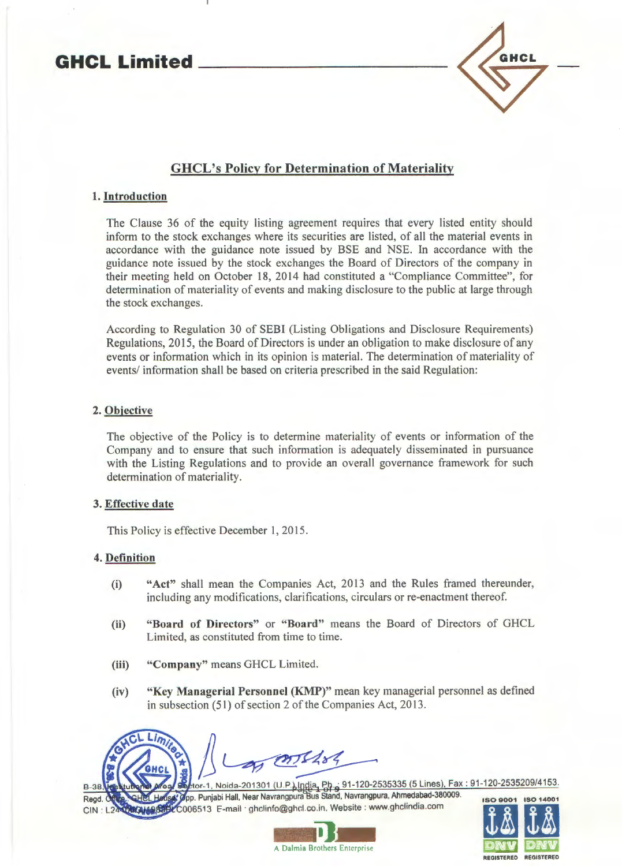# **GHCL Limited \_\_\_\_\_\_\_\_\_ \_**



## GHCL's Policy for Determination of Materiality

## 1. Introduction

The Clause 36 of the equity listing agreement requires that every listed entity should inform to the stock exchanges where its securities are listed, of all the material events in accordance with the guidance note issued by BSE and NSE. In accordance with the guidance note issued by the stock exchanges the Board of Directors of the company in their meeting held on October 18, 2014 had constituted a "Compliance Committee", for determination of materiality of events and making disclosure to the public at large through the stock exchanges.

According to Regulation 30 of SEBI (Listing Obligations and Disclosure Requirements) Regulations, 2015, the Board of Directors is under an obligation to make disclosure of any events or information which in its opinion is material. The determination of materiality of events/ information shall be based on criteria prescribed in the said Regulation:

## 2. Objective

The objective of the Policy is to determine materiality of events or information of the Company and to ensure that such information is adequately disseminated in pursuance with the Listing Regulations and to provide an overall governance framework for such determination of materiality.

## 3. Effective date

This Policy is effective December 1, 2015.

## 4. Definition

- (i) "Act" shall mean the Companies Act, 2013 and the Rules framed thereunder, including any modifications, clarifications, circulars or re-enactment thereof.
- (ii) "Board of Directors" or "Board" means the Board of Directors of GHCL Limited, as constituted from time to time.
- (iii) "Company" means GHCL Limited.
- (iv) "Key Managerial Personnel (KMP)" mean key managerial personnel as defined in subsection (51) of section 2 of the Companies Act, 2013.



or-1, Noida-201301 (U.P.) India, Ph., 91-120-2535335 (5 Lines), Fax: 91-120-2535209/4153. **B-38** ' pp. Punjabi Hall, Near Navrangpura us Stand, Navrangpura, Ahmedabad-380009. ISO 9001 ISO 14001 006513 E-mail · ghclinfo@ghcl.co.in. Website: www.ghclindia.com



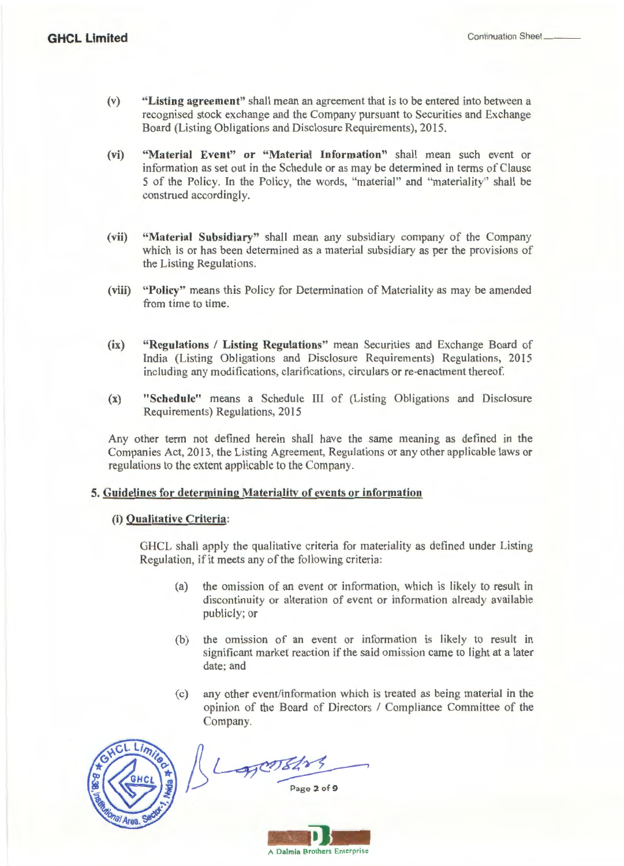- (v) **"Listing agreement"** shall mean an agreement that is to be entered into between a recognised stock exchange and the Company pursuant to Securities and Exchange Board (Listing Obligations and Disclosure Requirements), 2015.
- **(vi) "Material Event" or "Material Information"** shall mean such event or information as set out in the Schedule or as may be determined in terms of Clause 5 of the Policy. In the Policy, the words, "material" and "materiality" shall be construed accordingly.
- **(vii) "Material Subsidiary"** shall mean any subsidiary company of the Company which is or has been determined as a material subsidiary as per the provisions of the Listing Regulations.
- **(viii) "Policy"** means this Policy for Determination of Materiality as may be amended from time to time.
- **(ix) "Regulations I Listing Regulations"** mean Securities and Exchange Board of India (Listing Obligations and Disclosure Requirements) Regulations, 2015 including any modifications, clarifications, circulars or re-enactment thereof.
- (x) **"Schedule"** means a Schedule III of (Listing Obligations and Disclosure Requirements) Regulations, 2015

Any other term not defined herein shall have the same meaning as defined in the Companies Act, 2013, the Listing Agreement, Regulations or any other applicable laws or regulations to the extent applicable to the Company.

#### **5. Guidelines for determining Materiality of events or information**

## **(i) Qualitative Criteria:**

GHCL shall apply the qualitative criteria for materiality as defined under Listing Regulation, if it meets any of the following criteria:

- (a) the omission of an event or information, which is likely to result in discontinuity or alteration of event or information already available publicly; or
- (b) the omission of an event or information is likely to result in significant market reaction if the said omission came to light at a later date; and
- (c) any other event/information which is treated as being material in the opinion of the Board of Directors I Compliance Committee of the Company.



 $L_{\rm F}$ orsa

Page 2 of 9

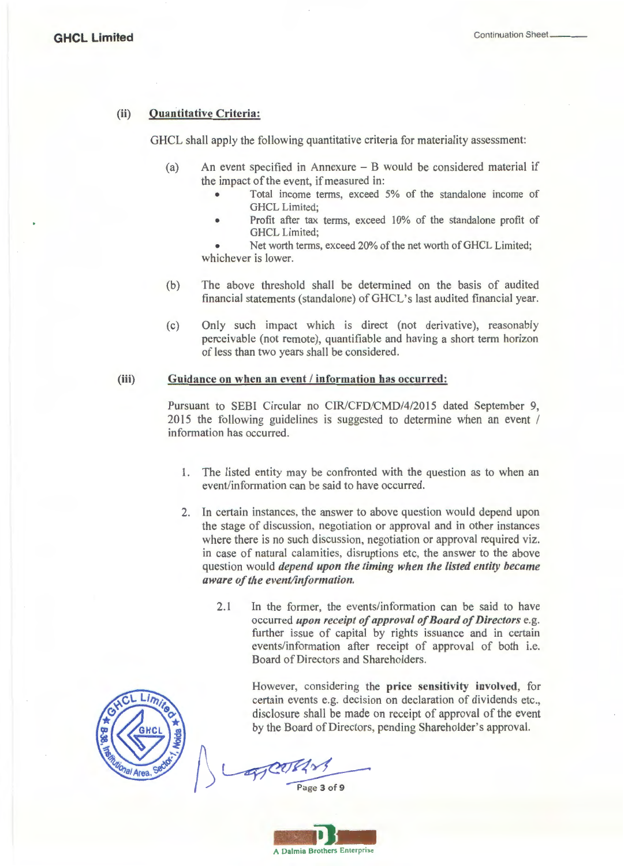## (ii) Quantitative Criteria:

GHCL shall apply the following quantitative criteria for materiality assessment:

- (a) An event specified in Annexure B would be considered material if the impact of the event, if measured in:
	- Total income terms, exceed 5% of the standalone income of GHCL Limited;
	- Profit after tax terms, exceed 10% of the standalone profit of GHCL Limited;

Net worth terms, exceed 20% of the net worth of GHCL Limited; whichever is lower.

- (b) The above threshold shall be determined on the basis of audited financial statements (standalone) of GHCL's last audited financial year.
- (c) Only such impact which is direct (not derivative), reasonably perceivable (not remote), quantifiable and having a short term horizon of less than two years shall be considered.

#### (iii) Guidance on when an event / information has occurred:

Pursuant to SEBI Circular no CIR/CFD/CMD/4/2015 dated September 9, 2015 the following guidelines is suggested to determine when an event / information has occurred.

- 1. The listed entity may be confronted with the question as to when an event/information can be said to have occurred.
- 2. In certain instances, the answer to above question would depend upon the stage of discussion, negotiation or approval and in other instances where there is no such discussion, negotiation or approval required viz. in case of natural calamities, disruptions etc, the answer to the above question would *depend upon the timing when the listed entity became aware of the event/information.* 
	- 2.1 In the former, the events/information can be said to have occurred *upon receipt of approval of Board of Directors* e.g. further issue of capital by rights issuance and in certain events/information after receipt of approval of both i.e. Board of Directors and Shareholders.

However, considering the price sensitivity involved, for certain events e.g. decision on declaration of dividends etc., disclosure shall be made on receipt of approval of the event by the Board of Directors, pending Shareholder's approval.



WEDERY

Page 3 of 9

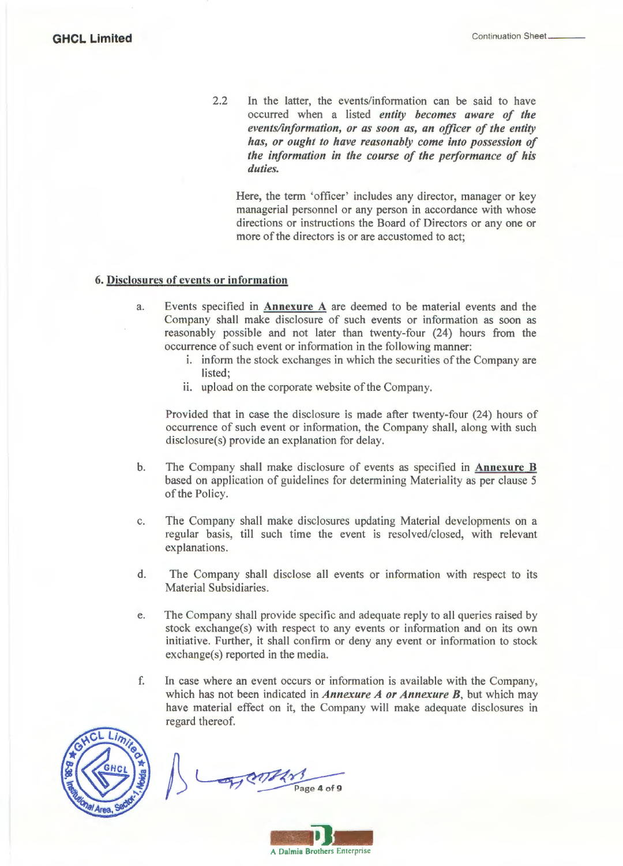2.2 In the latter, the events/information can be said to have occurred when a listed *entity becomes aware of the events/information, or as soon as, an officer of the entity has, or ought to have reasonably come into possession of the information in the course of the performance of his duties.* 

Here, the term 'officer' includes any director, manager or key managerial personnel or any person in accordance with whose directions or instructions the Board of Directors or any one or more of the directors is or are accustomed to act;

#### 6. Disclosures of events or information

- a. Events specified in Annexure A are deemed to be material events and the Company shall make disclosure of such events or information as soon as reasonably possible and not later than twenty-four (24) hours from the occurrence of such event or information in the following manner:
	- 1. inform the stock exchanges in which the securities of the Company are listed;
	- ii. upload on the corporate website of the Company.

Provided that in case the disclosure is made after twenty-four (24) hours of occurrence of such event or information, the Company shall, along with such disclosure(s) provide an explanation for delay.

- b. The Company shall make disclosure of events as specified in Annexure B based on application of guidelines for determining Materiality as per clause 5 of the Policy.
- c. The Company shall make disclosures updating Material developments on a regular basis, till such time the event is resolved/closed, with relevant explanations.
- d. The Company shall disclose all events or information with respect to its Material Subsidiaries.
- e. The Company shall provide specific and adequate reply to all queries raised by stock exchange(s) with respect to any events or information and on its own initiative. Further, it shall confirm or deny any event or information to stock exchange(s) reported in the media.
- f. In case where an event occurs or information is available with the Company, which has not been indicated in *Annexure A or Annexure B,* but which may have material effect on it, the Company will make adequate disclosures in regard thereof.



Page 4 of 9

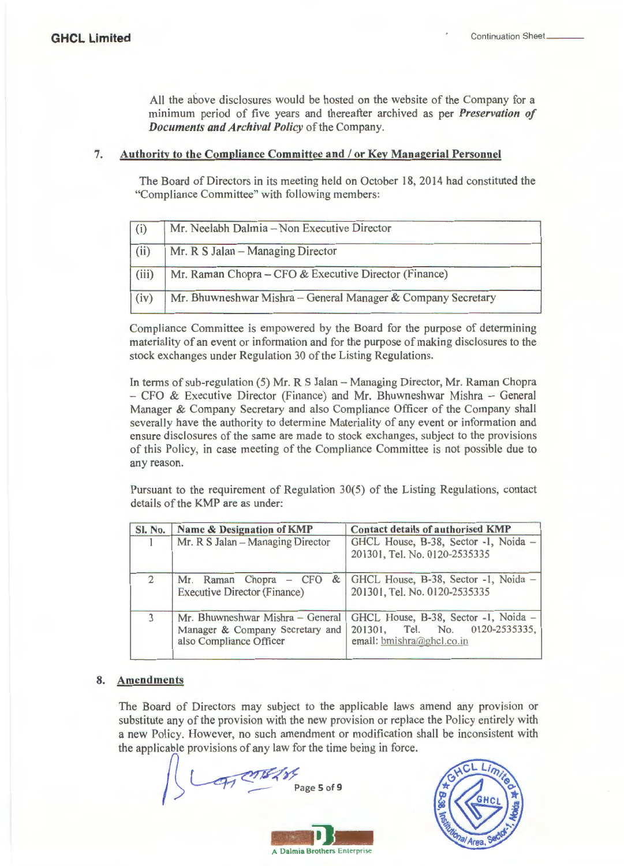All the above disclosures would be hosted on the website of the Company for a minimum period of five years and thereafter archived as per *Preservation of Documents and Archival Policy* of the Company.

## 7. Authority to the Compliance Committee and / or Key Managerial Personnel

The Board of Directors in its meeting held on October 18, 2014 had constituted the "Compliance Committee" with following members:

| (i)   | Mr. Neelabh Dalmia - Non Executive Director                  |  |
|-------|--------------------------------------------------------------|--|
| (iii) | Mr. R S Jalan - Managing Director                            |  |
| (iii) | Mr. Raman Chopra - CFO & Executive Director (Finance)        |  |
| (iv)  | Mr. Bhuwneshwar Mishra - General Manager & Company Secretary |  |

Compliance Committee is empowered by the Board for the purpose of determining materiality of an event or information and for the purpose of making disclosures to the stock exchanges under Regulation 30 of the Listing Regulations.

In terms of sub-regulation (5) Mr. R S Jalan - Managing Director, Mr. Raman Chopra  $-$  CFO & Executive Director (Finance) and Mr. Bhuwneshwar Mishra  $-$  General Manager & Company Secretary and also Compliance Officer of the Company shall severally have the authority to determine Materiality of any event or information and ensure disclosures of the same are made to stock exchanges, subject to the provisions of this Policy, in case meeting of the Compliance Committee is not possible due to any reason.

Pursuant to the requirement of Regulation 30(5) of the Listing Regulations, contact details of the KMP are as under:

| <b>SI. No.</b> | Name & Designation of KMP                                                                      | Contact details of authorised KMP                                                                      |
|----------------|------------------------------------------------------------------------------------------------|--------------------------------------------------------------------------------------------------------|
|                | Mr. R S Jalan - Managing Director                                                              | GHCL House, B-38, Sector -1, Noida -<br>201301, Tel. No. 0120-2535335                                  |
|                | Mr. Raman Chopra – CFO<br><b>Executive Director (Finance)</b>                                  | & GHCL House, B-38, Sector -1, Noida -<br>201301, Tel. No. 0120-2535335                                |
| $\mathbf{3}$   | Mr. Bhuwneshwar Mishra - General<br>Manager & Company Secretary and<br>also Compliance Officer | GHCL House, B-38, Sector -1, Noida -<br>Tel. No. 0120-2535335,<br>201301.<br>email: bmishra@ghcl.co.in |

## 8. Amendments

The Board of Directors may subject to the applicable laws amend any provision or substitute any of the provision with the new provision or replace the Policy entirely with a new Policy. However, no such amendment or modification shall be inconsistent with the applicable provisions of any law for the time being in force.

**LATISERY** Page 5 of 9 **- 11 ...**  A Dalmia Brothers Enterprise

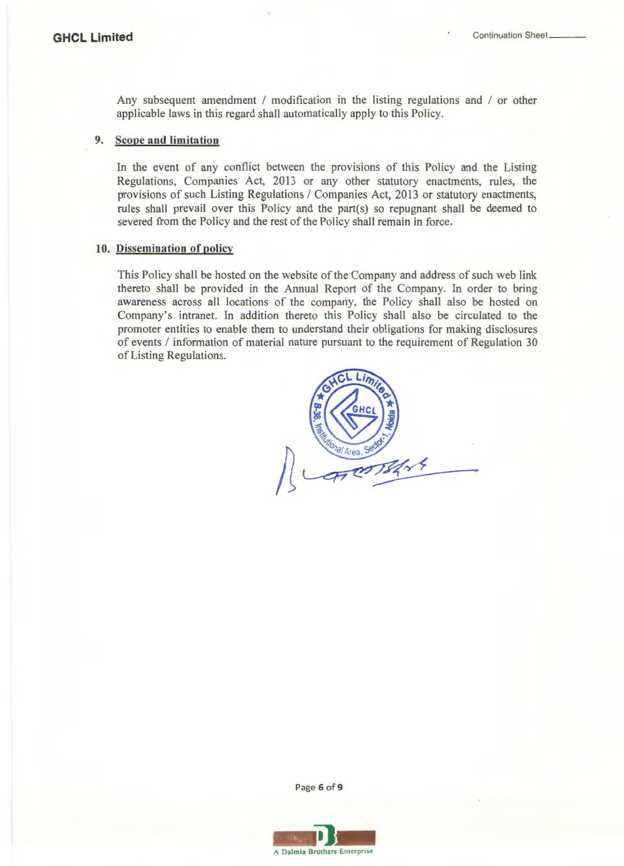Any subsequent amendment / modification in the listing regulations and / or other applicable laws in this regard shall automatically apply to this Policy.

## 9. Scope and limitation

In the event of any conflict between the provisions of this Policy and the Listing Regulations, Companies Act, 2013 or any other statutory enactments, rules, the provisions of such Listing Regulations / Companies Act, 2013 or statutory enactments, rules shall prevail over this Policy and the part(s) so repugnant shall be deemed to severed from the Policy and the rest of the Policy shall remain in force.

#### 10. Dissemination of policy

This Policy shall be hosted on the website of the Company and address of such web link thereto shall be provided in the Annual Report of the Company. In order to bring awareness across all locations of the company, the Policy shall also be hosted on Company's intranet. In addition thereto this Policy shall also be circulated to the promoter entities to enable them to understand their obligations for making disclosures of events / information of material nature pursuant to the requirement of Regulation 30 of Listing Regulations.



Page 6 of 9

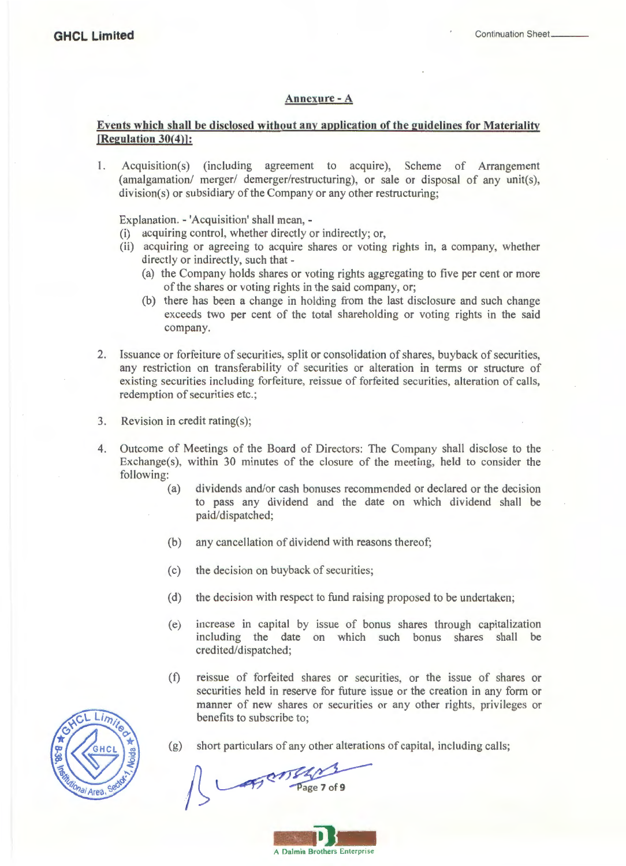#### **Annexure-A**

## **Events which shall be disclosed without any application of the guidelines for Materiality [Regulation 30(4)]:**

I. Acquisition(s) (including agreement to acquire), Scheme of Arrangement (amalgamation/ merger/ demerger/restructuring), or sale or disposal of any unit(s), division(s) or subsidiary of the Company or any other restructuring;

Explanation. - 'Acquisition' shall mean, -

- (i) acquiring control, whether directly or indirectly; or,
- (ii) acquiring or agreeing to acquire shares or voting rights in, a company, whether directly or indirectly, such that -
	- (a) the Company holds shares or voting rights aggregating to five per cent or more of the shares or voting rights in the said company, or;
	- (b) there has been a change in holding from the last disclosure and such change exceeds two per cent of the total shareholding or voting rights in the said company.
- 2. Issuance or forfeiture of securities, split or consolidation of shares, buyback of securities, any restriction on transferability of securities or alteration in terms or structure of existing securities including forfeiture, reissue of forfeited securities, alteration of calls, redemption of securities etc.;
- 3. Revision in credit rating(s);
- 4. Outcome of Meetings of the Board of Directors: The Company shall disclose to the Exchange(s), within 30 minutes of the closure of the meeting, held to consider the following:
	- (a) dividends and/or cash bonuses recommended or declared or the decision to pass any dividend and the date on which dividend shall be paid/dispatched;
	- (b) any cancellation of dividend with reasons thereof;
	- (c) the decision on buyback of securities;
	- (d) the decision with respect to fund raising proposed to be undertaken;
	- (e) increase in capital by issue of bonus shares through capitalization including the date on which such bonus shares shall be credited/dispatched;
	- (f) reissue of forfeited shares or securities, or the issue of shares or securities held in reserve for future issue or the creation in any form or manner of new shares or securities or any other rights, privileges or benefits to subscribe to;



(g) short particulars of any other alterations of capital, including calls;

ATOM!

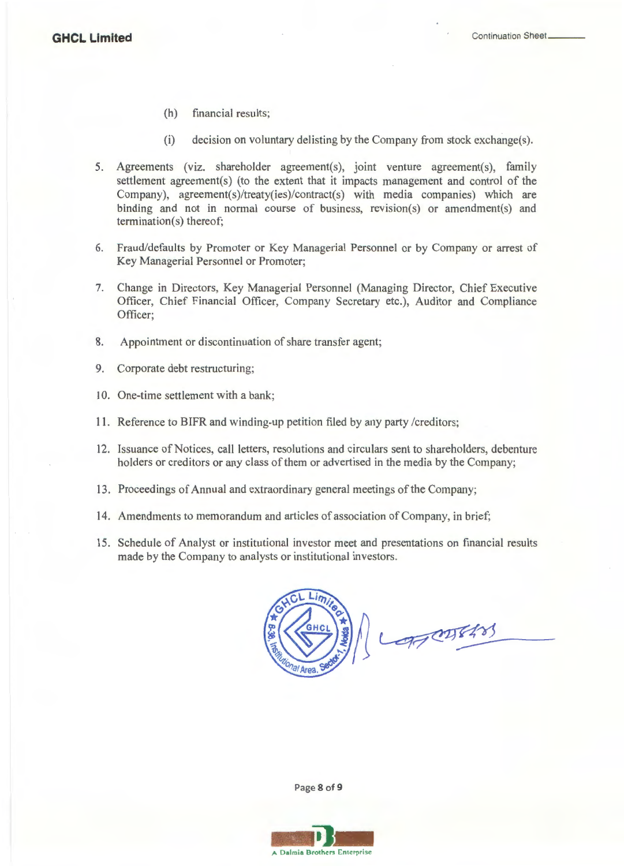- (h) financial results;
- (i) decision on voluntary delisting by the Company from stock exchange(s).
- 5. Agreements (viz. shareholder agreement(s), joint venture agreement(s), family settlement agreement(s) (to the extent that it impacts management and control of the Company), agreement(s)/treaty(ies)/contract(s) with media companies) which are binding and not in normal course of business, revision(s) or amendment(s) and termination(s) thereof;
- 6. Fraud/defaults by Promoter or Key Managerial Personnel or by Company or arrest of Key Managerial Personnel or Promoter;
- 7. Change in Directors, Key Managerial Personnel (Managing Director, Chief Executive Officer, Chief Financial Officer, Company Secretary etc.), Auditor and Compliance Officer;
- 8. Appointment or discontinuation of share transfer agent;
- 9. Corporate debt restructuring;
- 10. One-time settlement with a bank;
- 11. Reference to BIFR and winding-up petition filed by any party /creditors;
- 12. Issuance of Notices, call letters, resolutions and circulars sent to shareholders, debenture holders or creditors or any class of them or advertised in the media by the Company;
- 13. Proceedings of Annual and extraordinary general meetings of the Company;
- 14. Amendments to memorandum and articles of association of Company, in brief;
- 15. Schedule of Analyst or institutional investor meet and presentations on financial results made by the Company to analysts or institutional investors.



Lopetters

Page 8 of 9